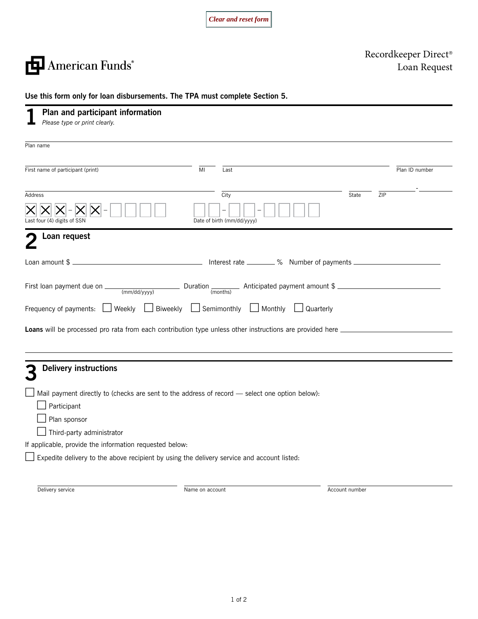*Clear and reset form*

American Funds<sup>®</sup>

Recordkeeper Direct® Loan Request

|  |  | Use this form only for loan disbursements. The TPA must complete Section 5. |  |  |
|--|--|-----------------------------------------------------------------------------|--|--|
|--|--|-----------------------------------------------------------------------------|--|--|

| Plan and participant information<br>Please type or print clearly.                                              |    |                            |       |     |                |
|----------------------------------------------------------------------------------------------------------------|----|----------------------------|-------|-----|----------------|
| Plan name                                                                                                      |    |                            |       |     |                |
| First name of participant (print)                                                                              | MI | Last                       |       |     | Plan ID number |
| <b>Address</b>                                                                                                 |    | City                       | State | ZIP |                |
| ast four (4) digits of SSN                                                                                     |    | Date of birth (mm/dd/yyyy) |       |     |                |
| Loan request                                                                                                   |    |                            |       |     |                |
| Loan amount \$                                                                                                 |    |                            |       |     |                |
| First loan payment due on $\frac{1}{(mm/dd/yyyy)}$ Duration $\frac{1}{(months)}$ Anticipated payment amount \$ |    |                            |       |     |                |
| Frequency of payments: $\Box$ Weekly $\Box$ Biweekly $\Box$ Semimonthly $\Box$ Monthly                         |    | $\Box$ Quarterly           |       |     |                |
|                                                                                                                |    |                            |       |     |                |
| <b>Delivery instructions</b>                                                                                   |    |                            |       |     |                |
| Mail payment directly to (checks are sent to the address of record - select one option below):                 |    |                            |       |     |                |
| Participant                                                                                                    |    |                            |       |     |                |
| Plan sponsor                                                                                                   |    |                            |       |     |                |
| $\Box$ Third-party administrator<br>If applicable, provide the information requested below:                    |    |                            |       |     |                |
| Expedite delivery to the above recipient by using the delivery service and account listed:                     |    |                            |       |     |                |
|                                                                                                                |    |                            |       |     |                |
|                                                                                                                |    |                            |       |     |                |

1 of 2

Delivery service **Name on account** Name on account Name on account Account number